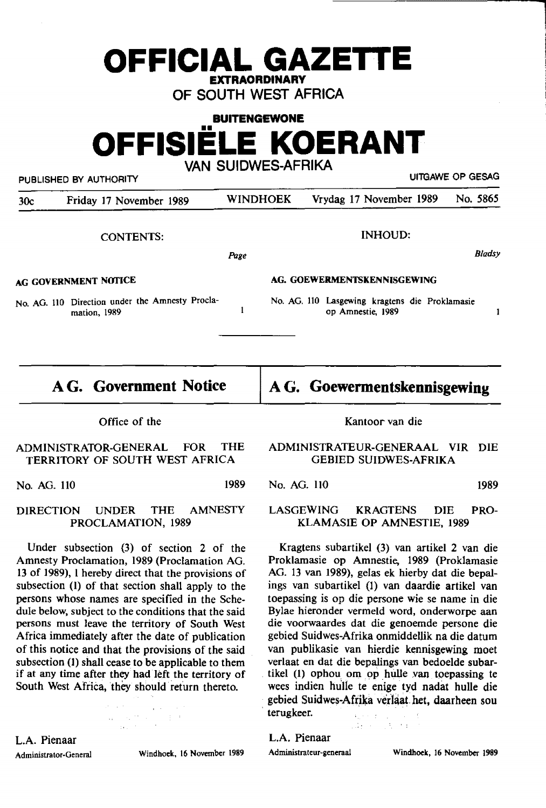## **OFFICIAL GAZETTE EXTRAORDINARY**

OF SOUTH WEST AFRICA

**BUITENGEWONE OFFISIELE KOERANT** 

PUBLISHED BY AUTHORITY WELL ASSESSED FOR SERIES AND MITGAWE OP GESAG

30c Friday 17 November 1989 WINDHOEK Vrydag 17 November 1989 No. 5865

VAN SUIDWES-AFRIKA

CONTENTS:

*Page* 

 $\mathbf{I}$ 

**AG GOVERNMENT NOTICE** 

No. AG. LIO Direction under the Amnesty Proclamation, 1989

**AG. Government Notice** 

### **AG. Goewermentskennisgewing**

INHOUD:

**AG. GOEWERMENTSKENNISGEWING** 

No. AG. 110 Lasgewing kragtens die Proklamasie op Amnestie, 1989

Office of the

#### ADMINISTRATOR-GENERAL FOR THE TERRITORY OF SOUTH WEST AFRICA

No. AG. 110 1989

#### DIRECTION UNDER THE AMNESTY PROCLAMATION, 1989

Under subsection (3) of section 2 of the Amnesty Proclamation, 1989 (Proclamation AG. 13 of 1989), I hereby direct that the provisions of subsection (l) of that section shall apply to the persons whose names are specified in the Schedule below, subject to the conditions that the said persons must leave the territory of South West Africa immediately after the date of publication of this notice and that the provisions of the said subsection (1) shall cease to be applicable to them if at any time after they had left the territory of South West Africa, they should return thereto.

 $\label{eq:3.1} \mathcal{O}(\log^2\theta) \leq \mathcal{O}(\log^2\theta) \leq \frac{1}{\pi} \log^2\theta$ 

L.A. Pienaar

Administrator-General Windhoek, 16 November 1989

Kantoor van die

#### ADMINISTRATEUR-GENERAAL VIR DIE GEBIED SUIDWES-AFRIKA

No. AG. 110 1989

*Bladsy* 

 $\mathbf{1}$ 

LASGEWING KRAGTENS DIE PRO-KLAMASIE OP AMNESTlE, 1989

Kragtens subartikel (3) van artikel 2 van die Proklamasie op Amnestie, 1989 {Proklamasie AG. 13 van 1989), gelas ek hierby dat die bepalings van subartikel (1) van daardie artikel van toepassing is op die persone wie se name in die Bylae hieronder vermeld word, onderworpe aan die voorwaardes dat die genoemde persone die gebied Suidwes-Afrika onmiddellik na die datum van publikasie van hierdie **kennisgewing** moet verlaat en dat die bepalings van bedoelde **subar** tikel  $(1)$  ophou om op hulle van toepassing te wees indien hulle te enige tyd nadat hulle die gebied Suidwes-Afrika verlaat het, daarheen sou terugkeer.

24 年 12 年 14 月

# L.A. Pienaar

Administrateur-generaal **Windhoek,** 16 **November 1989**